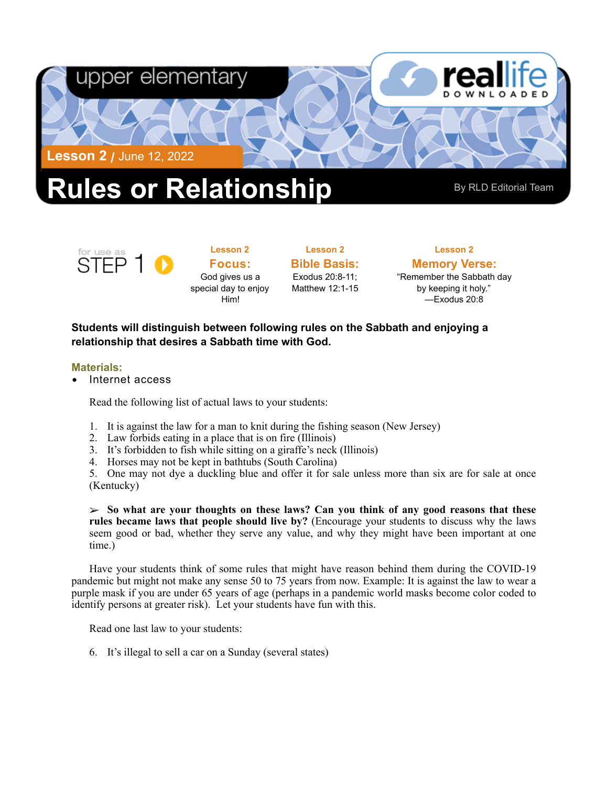

# for use as

**Focus:**  God gives us a special day to enjoy Him!

**Lesson 2** 

**Bible Basis:** Exodus 20:8-11; Matthew 12:1-15

**Lesson 2** 

**Memory Verse:** "Remember the Sabbath day by keeping it holy." —Exodus 20:8

**Lesson 2** 

### **Students will distinguish between following rules on the Sabbath and enjoying a relationship that desires a Sabbath time with God.**

#### **Materials:**

STEP<sub>1</sub>

• Internet access

Read the following list of actual laws to your students:

- 1. It is against the law for a man to knit during the fishing season (New Jersey)
- 2. Law forbids eating in a place that is on fire (Illinois)
- 3. It's forbidden to fish while sitting on a giraffe's neck (Illinois)
- 4. Horses may not be kept in bathtubs (South Carolina)

5. One may not dye a duckling blue and offer it for sale unless more than six are for sale at once (Kentucky)

➢ **So what are your thoughts on these laws? Can you think of any good reasons that these rules became laws that people should live by?** (Encourage your students to discuss why the laws seem good or bad, whether they serve any value, and why they might have been important at one time.)

Have your students think of some rules that might have reason behind them during the COVID-19 pandemic but might not make any sense 50 to 75 years from now. Example: It is against the law to wear a purple mask if you are under 65 years of age (perhaps in a pandemic world masks become color coded to identify persons at greater risk). Let your students have fun with this.

Read one last law to your students:

6. It's illegal to sell a car on a Sunday (several states)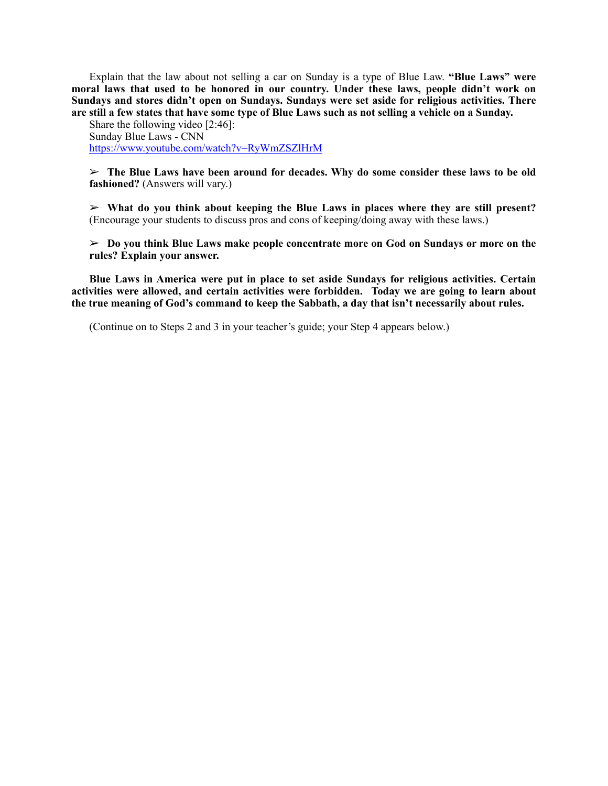Explain that the law about not selling a car on Sunday is a type of Blue Law. **"Blue Laws" were moral laws that used to be honored in our country. Under these laws, people didn't work on Sundays and stores didn't open on Sundays. Sundays were set aside for religious activities. There are still a few states that have some type of Blue Laws such as not selling a vehicle on a Sunday.** 

Share the following video [2:46]: Sunday Blue Laws - CNN <https://www.youtube.com/watch?v=RyWmZSZlHrM>

➢ **The Blue Laws have been around for decades. Why do some consider these laws to be old fashioned?** (Answers will vary.)

➢ **What do you think about keeping the Blue Laws in places where they are still present?**  (Encourage your students to discuss pros and cons of keeping/doing away with these laws.)

➢ **Do you think Blue Laws make people concentrate more on God on Sundays or more on the rules? Explain your answer.** 

**Blue Laws in America were put in place to set aside Sundays for religious activities. Certain activities were allowed, and certain activities were forbidden. Today we are going to learn about the true meaning of God's command to keep the Sabbath, a day that isn't necessarily about rules.** 

(Continue on to Steps 2 and 3 in your teacher's guide; your Step 4 appears below.)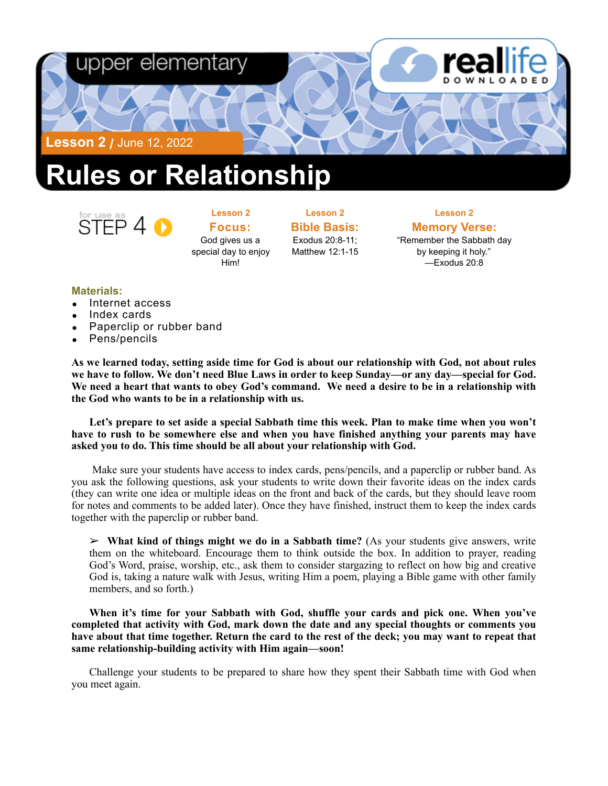

## **Rules or Relationship**



**Lesson 2 Focus:**  God gives us a special day to enjoy Him!

**Lesson 2 Bible Basis:** Exodus 20:8-11;

Matthew 12:1-15

**Lesson 2 Memory Verse:**<br>"Remember the Sabbath day" by keeping it holy." —Exodus 20:8

#### **Materials:**

- Internet access
- Index cards
- Paperclip or rubber band
- Pens/pencils

**As we learned today, setting aside time for God is about our relationship with God, not about rules we have to follow. We don't need Blue Laws in order to keep Sunday—or any day—special for God. We need a heart that wants to obey God's command. We need a desire to be in a relationship with the God who wants to be in a relationship with us.** 

**Let's prepare to set aside a special Sabbath time this week. Plan to make time when you won't have to rush to be somewhere else and when you have finished anything your parents may have asked you to do. This time should be all about your relationship with God.** 

 Make sure your students have access to index cards, pens/pencils, and a paperclip or rubber band. As you ask the following questions, ask your students to write down their favorite ideas on the index cards (they can write one idea or multiple ideas on the front and back of the cards, but they should leave room for notes and comments to be added later). Once they have finished, instruct them to keep the index cards together with the paperclip or rubber band.

➢ **What kind of things might we do in a Sabbath time?** (As your students give answers, write them on the whiteboard. Encourage them to think outside the box. In addition to prayer, reading God's Word, praise, worship, etc., ask them to consider stargazing to reflect on how big and creative God is, taking a nature walk with Jesus, writing Him a poem, playing a Bible game with other family members, and so forth.)

**When it's time for your Sabbath with God, shuffle your cards and pick one. When you've completed that activity with God, mark down the date and any special thoughts or comments you have about that time together. Return the card to the rest of the deck; you may want to repeat that same relationship-building activity with Him again—soon!** 

Challenge your students to be prepared to share how they spent their Sabbath time with God when you meet again.